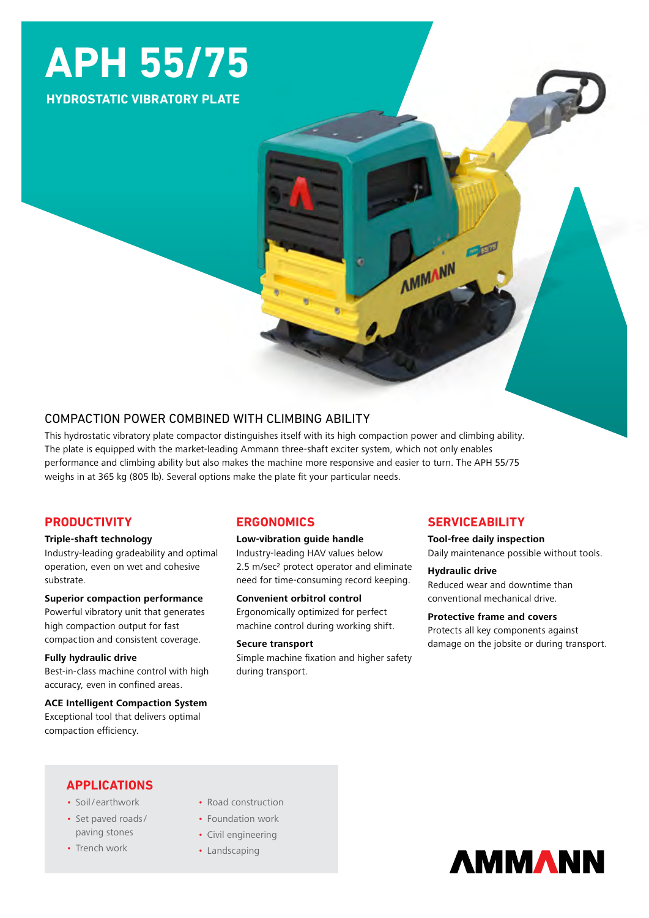# **APH 55/75**

**HYDROSTATIC VIBRATORY PLATE**

# COMPACTION POWER COMBINED WITH CLIMBING ABILITY

This hydrostatic vibratory plate compactor distinguishes itself with its high compaction power and climbing ability. The plate is equipped with the market-leading Ammann three-shaft exciter system, which not only enables performance and climbing ability but also makes the machine more responsive and easier to turn. The APH 55/75 weighs in at 365 kg (805 lb). Several options make the plate fit your particular needs.

# **PRODUCTIVITY**

#### **Triple-shaft technology**

Industry-leading gradeability and optimal operation, even on wet and cohesive substrate.

#### **Superior compaction performance**

Powerful vibratory unit that generates high compaction output for fast compaction and consistent coverage.

#### **Fully hydraulic drive**

Best-in-class machine control with high accuracy, even in confined areas.

#### **ACE Intelligent Compaction System**

Exceptional tool that delivers optimal compaction efficiency.

# **ERGONOMICS**

#### **Low-vibration guide handle**

Industry-leading HAV values below 2.5 m/sec<sup>2</sup> protect operator and eliminate need for time-consuming record keeping.

#### **Convenient orbitrol control**

Ergonomically optimized for perfect machine control during working shift.

#### **Secure transport**

Simple machine fixation and higher safety during transport.

# **SERVICEABILITY**

PER

**AMMANN** 

**Tool-free daily inspection** Daily maintenance possible without tools.

#### **Hydraulic drive**

Reduced wear and downtime than conventional mechanical drive.

# **Protective frame and covers**

Protects all key components against damage on the jobsite or during transport.

# **APPLICATIONS**

- Soil/ earthwork
- Set paved roads/ paving stones
- Trench work
- Road construction
- Foundation work
- Civil engineering
- Landscaping